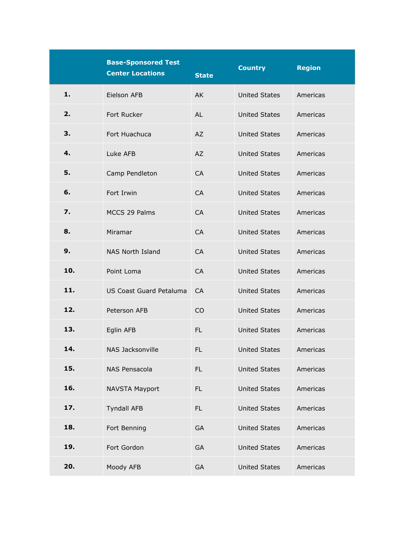|     | <b>Base-Sponsored Test</b><br><b>Center Locations</b> | <b>State</b>   | <b>Country</b>       | <b>Region</b> |
|-----|-------------------------------------------------------|----------------|----------------------|---------------|
| 1.  | Eielson AFB                                           | AK             | <b>United States</b> | Americas      |
| 2.  | Fort Rucker                                           | AL             | <b>United States</b> | Americas      |
| З.  | Fort Huachuca                                         | AZ             | <b>United States</b> | Americas      |
| 4.  | Luke AFB                                              | <b>AZ</b>      | <b>United States</b> | Americas      |
| 5.  | Camp Pendleton                                        | <b>CA</b>      | <b>United States</b> | Americas      |
| 6.  | Fort Irwin                                            | <b>CA</b>      | <b>United States</b> | Americas      |
| 7.  | MCCS 29 Palms                                         | <b>CA</b>      | <b>United States</b> | Americas      |
| 8.  | Miramar                                               | CA             | <b>United States</b> | Americas      |
| 9.  | NAS North Island                                      | <b>CA</b>      | <b>United States</b> | Americas      |
| 10. | Point Loma                                            | <b>CA</b>      | <b>United States</b> | Americas      |
| 11. | US Coast Guard Petaluma                               | CA             | <b>United States</b> | Americas      |
| 12. | Peterson AFB                                          | C <sub>O</sub> | <b>United States</b> | Americas      |
| 13. | Eglin AFB                                             | <b>FL</b>      | <b>United States</b> | Americas      |
| 14. | NAS Jacksonville                                      | <b>FL</b>      | <b>United States</b> | Americas      |
| 15. | NAS Pensacola                                         | FL.            | <b>United States</b> | Americas      |
| 16. | <b>NAVSTA Mayport</b>                                 | FL.            | <b>United States</b> | Americas      |
| 17. | <b>Tyndall AFB</b>                                    | FL.            | <b>United States</b> | Americas      |
| 18. | Fort Benning                                          | GA             | <b>United States</b> | Americas      |
| 19. | Fort Gordon                                           | GA             | <b>United States</b> | Americas      |
| 20. | Moody AFB                                             | <b>GA</b>      | <b>United States</b> | Americas      |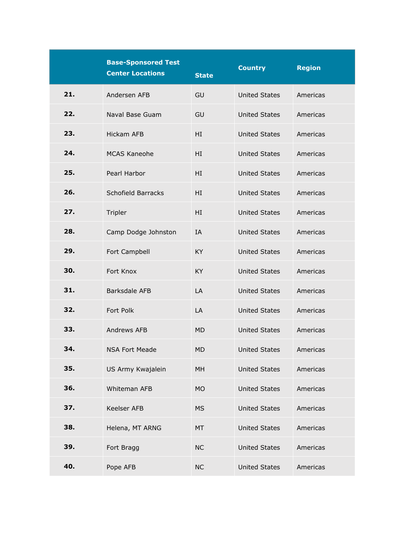|     | <b>Base-Sponsored Test</b><br><b>Center Locations</b> |              | <b>Country</b>       | <b>Region</b> |
|-----|-------------------------------------------------------|--------------|----------------------|---------------|
|     |                                                       | <b>State</b> |                      |               |
| 21. | Andersen AFB                                          | GU           | <b>United States</b> | Americas      |
| 22. | Naval Base Guam                                       | GU           | <b>United States</b> | Americas      |
| 23. | <b>Hickam AFB</b>                                     | ΗI           | <b>United States</b> | Americas      |
| 24. | <b>MCAS Kaneohe</b>                                   | HI           | <b>United States</b> | Americas      |
| 25. | Pearl Harbor                                          | ΗI           | <b>United States</b> | Americas      |
| 26. | Schofield Barracks                                    | ΗI           | <b>United States</b> | Americas      |
| 27. | Tripler                                               | HI           | <b>United States</b> | Americas      |
| 28. | Camp Dodge Johnston                                   | ΙA           | <b>United States</b> | Americas      |
| 29. | Fort Campbell                                         | KY           | <b>United States</b> | Americas      |
| 30. | Fort Knox                                             | KY           | <b>United States</b> | Americas      |
| 31. | Barksdale AFB                                         | LA           | <b>United States</b> | Americas      |
| 32. | Fort Polk                                             | LA           | <b>United States</b> | Americas      |
| 33. | Andrews AFB                                           | <b>MD</b>    | <b>United States</b> | Americas      |
| 34. | <b>NSA Fort Meade</b>                                 | <b>MD</b>    | <b>United States</b> | Americas      |
| 35. | US Army Kwajalein                                     | MH           | <b>United States</b> | Americas      |
| 36. | Whiteman AFB                                          | <b>MO</b>    | <b>United States</b> | Americas      |
| 37. | Keelser AFB                                           | <b>MS</b>    | <b>United States</b> | Americas      |
| 38. | Helena, MT ARNG                                       | MT           | <b>United States</b> | Americas      |
| 39. | Fort Bragg                                            | <b>NC</b>    | <b>United States</b> | Americas      |
| 40. | Pope AFB                                              | <b>NC</b>    | <b>United States</b> | Americas      |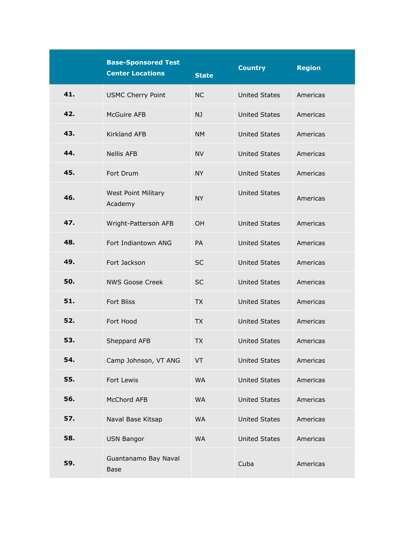|     | <b>Base-Sponsored Test</b><br><b>Center Locations</b> | <b>State</b> | <b>Country</b>       | <b>Region</b> |
|-----|-------------------------------------------------------|--------------|----------------------|---------------|
| 41. | <b>USMC Cherry Point</b>                              | <b>NC</b>    | <b>United States</b> | Americas      |
| 42. | McGuire AFB                                           | NJ           | <b>United States</b> | Americas      |
| 43. | <b>Kirkland AFB</b>                                   | <b>NM</b>    | <b>United States</b> | Americas      |
| 44. | <b>Nellis AFB</b>                                     | <b>NV</b>    | <b>United States</b> | Americas      |
| 45. | Fort Drum                                             | <b>NY</b>    | <b>United States</b> | Americas      |
| 46. | <b>West Point Military</b><br>Academy                 | <b>NY</b>    | <b>United States</b> | Americas      |
| 47. | Wright-Patterson AFB                                  | OH           | <b>United States</b> | Americas      |
| 48. | Fort Indiantown ANG                                   | PA           | <b>United States</b> | Americas      |
| 49. | Fort Jackson                                          | <b>SC</b>    | <b>United States</b> | Americas      |
| 50. | <b>NWS Goose Creek</b>                                | <b>SC</b>    | <b>United States</b> | Americas      |
| 51. | <b>Fort Bliss</b>                                     | <b>TX</b>    | <b>United States</b> | Americas      |
| 52. | Fort Hood                                             | <b>TX</b>    | <b>United States</b> | Americas      |
| 53. | Sheppard AFB                                          | <b>TX</b>    | <b>United States</b> | Americas      |
| 54. | Camp Johnson, VT ANG                                  | VT           | <b>United States</b> | Americas      |
| 55. | Fort Lewis                                            | <b>WA</b>    | <b>United States</b> | Americas      |
| 56. | McChord AFB                                           | <b>WA</b>    | <b>United States</b> | Americas      |
| 57. | Naval Base Kitsap                                     | <b>WA</b>    | <b>United States</b> | Americas      |
| 58. | <b>USN Bangor</b>                                     | <b>WA</b>    | <b>United States</b> | Americas      |
| 59. | Guantanamo Bay Naval<br><b>Base</b>                   |              | Cuba                 | Americas      |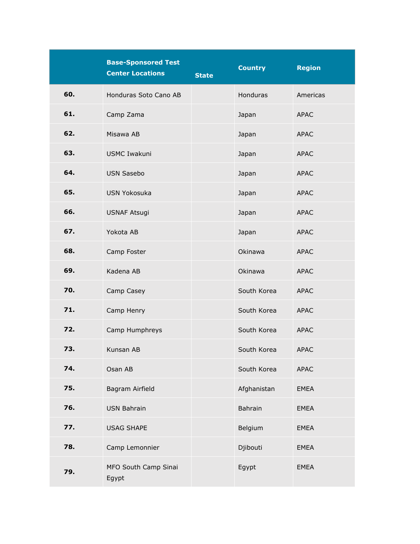|     | <b>Base-Sponsored Test</b><br><b>Center Locations</b> | <b>State</b> | <b>Country</b>  | <b>Region</b> |
|-----|-------------------------------------------------------|--------------|-----------------|---------------|
| 60. | Honduras Soto Cano AB                                 |              | <b>Honduras</b> | Americas      |
| 61. | Camp Zama                                             |              | Japan           | <b>APAC</b>   |
| 62. | Misawa AB                                             |              | Japan           | <b>APAC</b>   |
| 63. | <b>USMC Iwakuni</b>                                   |              | Japan           | <b>APAC</b>   |
| 64. | <b>USN Sasebo</b>                                     |              | Japan           | <b>APAC</b>   |
| 65. | <b>USN Yokosuka</b>                                   |              | Japan           | <b>APAC</b>   |
| 66. | <b>USNAF Atsugi</b>                                   |              | Japan           | <b>APAC</b>   |
| 67. | Yokota AB                                             |              | Japan           | <b>APAC</b>   |
| 68. | Camp Foster                                           |              | Okinawa         | <b>APAC</b>   |
| 69. | Kadena AB                                             |              | Okinawa         | <b>APAC</b>   |
| 70. | Camp Casey                                            |              | South Korea     | <b>APAC</b>   |
| 71. | Camp Henry                                            |              | South Korea     | <b>APAC</b>   |
| 72. | Camp Humphreys                                        |              | South Korea     | <b>APAC</b>   |
| 73. | Kunsan AB                                             |              | South Korea     | <b>APAC</b>   |
| 74. | Osan AB                                               |              | South Korea     | <b>APAC</b>   |
| 75. | Bagram Airfield                                       |              | Afghanistan     | <b>EMEA</b>   |
| 76. | <b>USN Bahrain</b>                                    |              | <b>Bahrain</b>  | <b>EMEA</b>   |
| 77. | <b>USAG SHAPE</b>                                     |              | Belgium         | <b>EMEA</b>   |
| 78. | Camp Lemonnier                                        |              | Djibouti        | <b>EMEA</b>   |
| 79. | MFO South Camp Sinai<br>Egypt                         |              | Egypt           | <b>EMEA</b>   |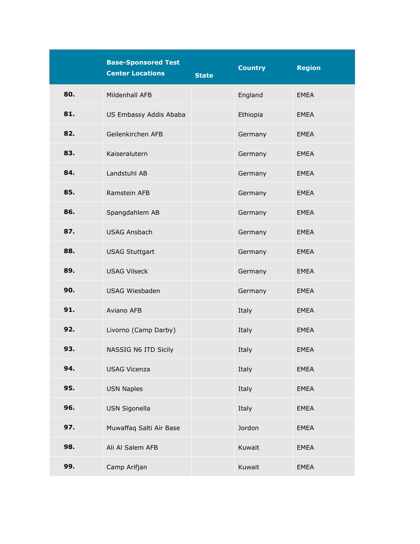|     | <b>Base-Sponsored Test</b><br><b>Center Locations</b> | <b>State</b> | <b>Country</b> | <b>Region</b> |
|-----|-------------------------------------------------------|--------------|----------------|---------------|
| 80. | Mildenhall AFB                                        |              | England        | <b>EMEA</b>   |
| 81. | US Embassy Addis Ababa                                |              | Ethiopia       | <b>EMEA</b>   |
| 82. | Geilenkirchen AFB                                     |              | Germany        | <b>EMEA</b>   |
| 83. | Kaiseralutern                                         |              | Germany        | <b>EMEA</b>   |
| 84. | Landstuhl AB                                          |              | Germany        | <b>EMEA</b>   |
| 85. | Ramstein AFB                                          |              | Germany        | <b>EMEA</b>   |
| 86. | Spangdahlem AB                                        |              | Germany        | <b>EMEA</b>   |
| 87. | <b>USAG Ansbach</b>                                   |              | Germany        | <b>EMEA</b>   |
| 88. | <b>USAG Stuttgart</b>                                 |              | Germany        | <b>EMEA</b>   |
| 89. | <b>USAG Vilseck</b>                                   |              | Germany        | <b>EMEA</b>   |
| 90. | <b>USAG Wiesbaden</b>                                 |              | Germany        | <b>EMEA</b>   |
| 91. | Aviano AFB                                            |              | Italy          | <b>EMEA</b>   |
| 92. | Livorno (Camp Darby)                                  |              | Italy          | <b>EMEA</b>   |
| 93. | NASSIG N6 ITD Sicily                                  |              | Italy          | <b>EMEA</b>   |
| 94. | <b>USAG Vicenza</b>                                   |              | Italy          | <b>EMEA</b>   |
| 95. | <b>USN Naples</b>                                     |              | Italy          | <b>EMEA</b>   |
| 96. | USN Sigonella                                         |              | Italy          | <b>EMEA</b>   |
| 97. | Muwaffaq Salti Air Base                               |              | Jordon         | <b>EMEA</b>   |
| 98. | Ali Al Salem AFB                                      |              | Kuwait         | <b>EMEA</b>   |
| 99. | Camp Arifjan                                          |              | Kuwait         | <b>EMEA</b>   |